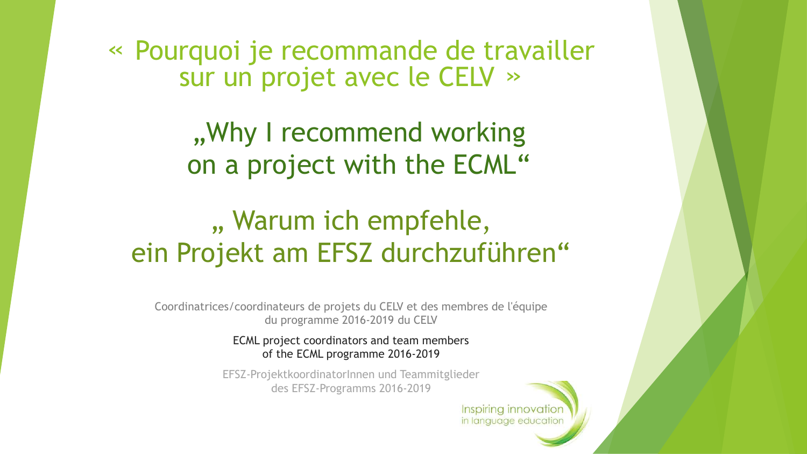« Pourquoi je recommande de travailler sur un projet avec le CELV »

> ", Why I recommend working on a project with the ECML"

# ", Warum ich empfehle, ein Projekt am EFSZ durchzuführen"

Coordinatrices/coordinateurs de projets du CELV et des membres de l'équipe du programme 2016-2019 du CELV

> ECML project coordinators and team members of the ECML programme 2016-2019

EFSZ-ProjektkoordinatorInnen und Teammitglieder des EFSZ-Programms 2016-2019

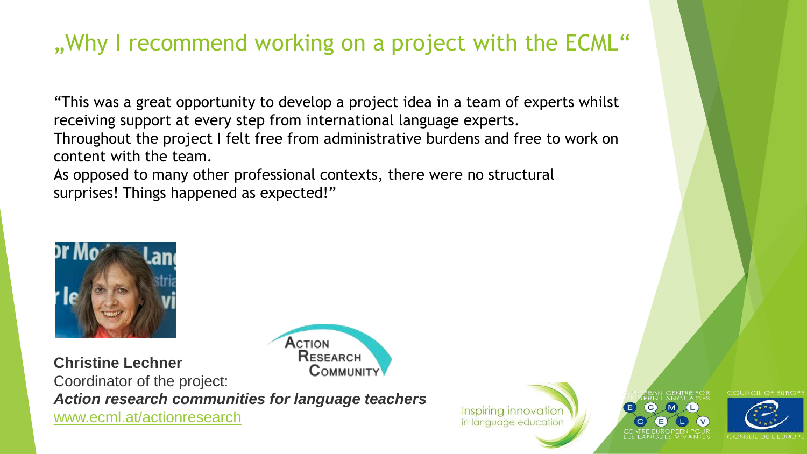# "Why I recommend working on a project with the ECML"

"This was a great opportunity to develop a project idea in a team of experts whilst receiving support at every step from international language experts. Throughout the project I felt free from administrative burdens and free to work on content with the team.

As opposed to many other professional contexts, there were no structural surprises! Things happened as expected!"

ACTION



RESEARCH **Christine Lechner COMMUNITY** Coordinator of the project: *Action research communities for language teachers* [www.ecml.at/actionresearch](http://www.ecml.at/actionresearch)

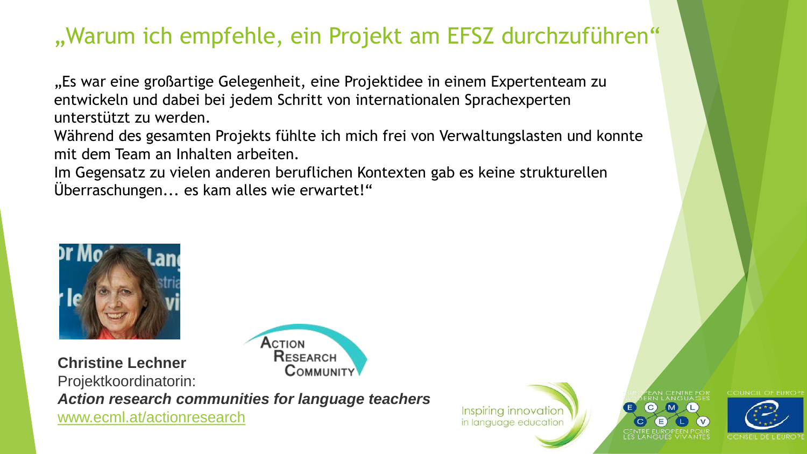#### "Warum ich empfehle, ein Projekt am EFSZ durchzuführen"

"Es war eine großartige Gelegenheit, eine Projektidee in einem Expertenteam zu entwickeln und dabei bei jedem Schritt von internationalen Sprachexperten unterstützt zu werden.

Während des gesamten Projekts fühlte ich mich frei von Verwaltungslasten und konnte mit dem Team an Inhalten arbeiten.

Im Gegensatz zu vielen anderen beruflichen Kontexten gab es keine strukturellen Überraschungen... es kam alles wie erwartet!"



RESEARCH **Christine Lechner** COMMUNITY Projektkoordinatorin: *Action research communities for language teachers* [www.ecml.at/actionresearch](http://www.ecml.at/actionresearch)

ACTION

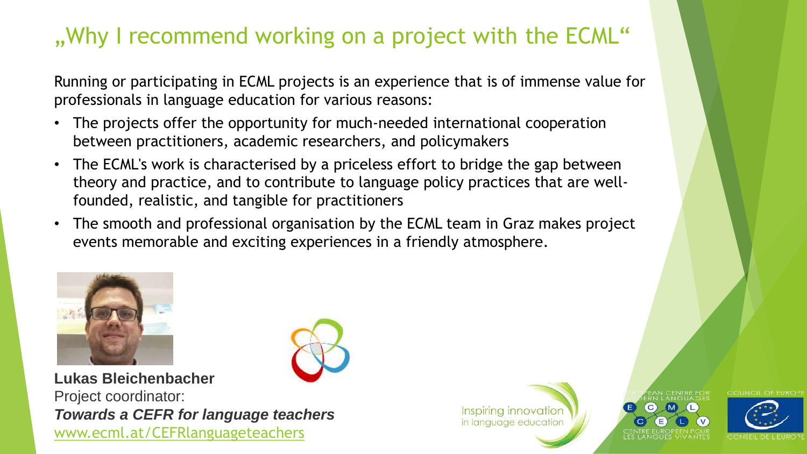# .. Why I recommend working on a project with the ECML"

Running or participating in ECML projects is an experience that is of immense value for professionals in language education for various reasons:

- The projects offer the opportunity for much-needed international cooperation between practitioners, academic researchers, and policymakers
- The ECML's work is characterised by a priceless effort to bridge the gap between theory and practice, and to contribute to language policy practices that are wellfounded, realistic, and tangible for practitioners
- The smooth and professional organisation by the ECML team in Graz makes project events memorable and exciting experiences in a friendly atmosphere.



**Lukas Bleichenbacher** Project coordinator: *Towards a CEFR for language teachers* [www.ecml.at/CEFRlanguageteachers](https://www.ecml.at/CEFRlanguageteachers)

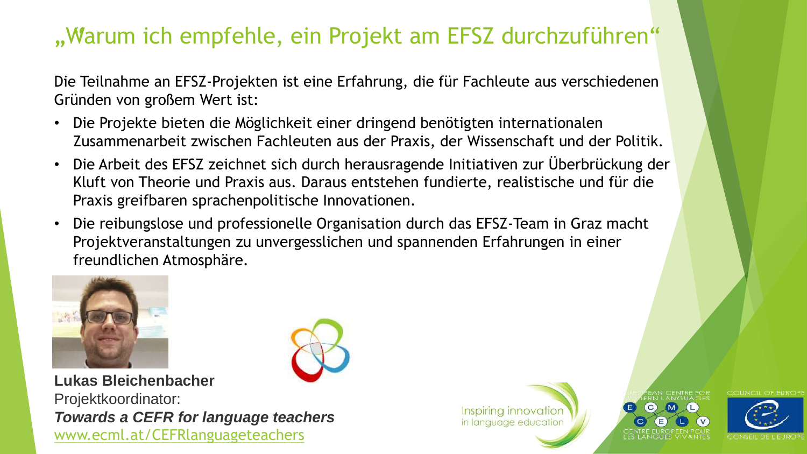#### "Warum ich empfehle, ein Projekt am EFSZ durchzuführen"

Die Teilnahme an EFSZ-Projekten ist eine Erfahrung, die für Fachleute aus verschiedenen Gründen von großem Wert ist:

- Die Projekte bieten die Möglichkeit einer dringend benötigten internationalen Zusammenarbeit zwischen Fachleuten aus der Praxis, der Wissenschaft und der Politik.
- Die Arbeit des EFSZ zeichnet sich durch herausragende Initiativen zur Überbrückung der Kluft von Theorie und Praxis aus. Daraus entstehen fundierte, realistische und für die Praxis greifbaren sprachenpolitische Innovationen.
- Die reibungslose und professionelle Organisation durch das EFSZ-Team in Graz macht Projektveranstaltungen zu unvergesslichen und spannenden Erfahrungen in einer freundlichen Atmosphäre.



**Lukas Bleichenbacher** Projektkoordinator: *Towards a CEFR for language teachers* [www.ecml.at/CEFRlanguageteachers](https://www.ecml.at/CEFRlanguageteachers)



Inspiring innovation in language education

 $\rm (C)$ 

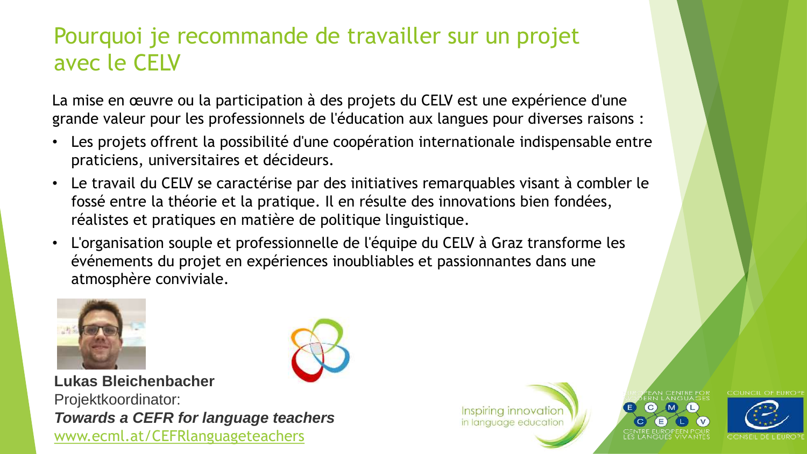# Pourquoi je recommande de travailler sur un projet avec le CELV

La mise en œuvre ou la participation à des projets du CELV est une expérience d'une grande valeur pour les professionnels de l'éducation aux langues pour diverses raisons :

- Les projets offrent la possibilité d'une coopération internationale indispensable entre praticiens, universitaires et décideurs.
- Le travail du CELV se caractérise par des initiatives remarquables visant à combler le fossé entre la théorie et la pratique. Il en résulte des innovations bien fondées, réalistes et pratiques en matière de politique linguistique.
- L'organisation souple et professionnelle de l'équipe du CELV à Graz transforme les événements du projet en expériences inoubliables et passionnantes dans une atmosphère conviviale.







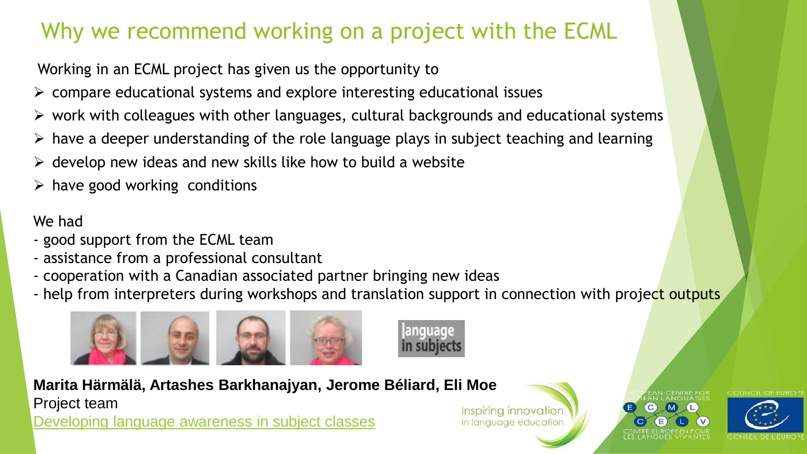# Why we recommend working on a project with the ECML

Working in an ECML project has given us the opportunity to

- $\triangleright$  compare educational systems and explore interesting educational issues
- $\triangleright$  work with colleagues with other languages, cultural backgrounds and educational systems
- $\triangleright$  have a deeper understanding of the role language plays in subject teaching and learning
- $\triangleright$  develop new ideas and new skills like how to build a website
- $\triangleright$  have good working conditions

We had

- good support from the ECML team
- assistance from a professional consultant
- cooperation with a Canadian associated partner bringing new ideas
- help from interpreters during workshops and translation support in connection with project outputs



**Marita Härmälä, Artashes Barkhanajyan, Jerome Béliard, Eli Moe** Project team [Developing language awareness in subject classes](http://www.ecml.at/languageinsubjects)